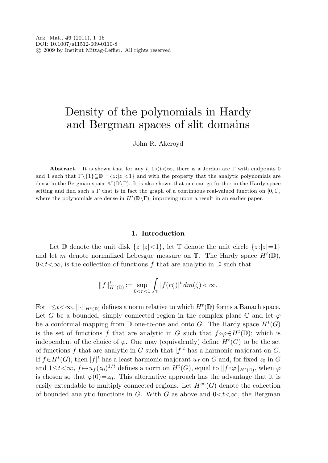# Density of the polynomials in Hardy and Bergman spaces of slit domains

John R. Akeroyd

**Abstract.** It is shown that for any t,  $0 \lt t \lt \infty$ , there is a Jordan arc Γ with endpoints 0 and 1 such that  $\Gamma\setminus\{1\} \subseteq \mathbb{D}:=\{z:|z|<1\}$  and with the property that the analytic polynomials are dense in the Bergman space  $\mathbb{A}^t(\mathbb{D}\setminus\Gamma)$ . It is also shown that one can go further in the Hardy space setting and find such a  $\Gamma$  that is in fact the graph of a continuous real-valued function on [0, 1], where the polynomials are dense in  $H^t(\mathbb{D}\backslash\Gamma)$ ; improving upon a result in an earlier paper.

## **1. Introduction**

Let  $\mathbb D$  denote the unit disk  $\{z:|z|<1\}$ , let  $\mathbb T$  denote the unit circle  $\{z:|z|=1\}$ and let m denote normalized Lebesgue measure on  $\mathbb{T}$ . The Hardy space  $H^t(\mathbb{D})$ ,  $0 < t < \infty$ , is the collection of functions f that are analytic in  $\mathbb D$  such that

$$
||f||_{H^t(\mathbb{D})}^t := \sup_{0 < r < 1} \int_{\mathbb{T}} |f(r\zeta)|^t \, dm(\zeta) < \infty.
$$

For  $1 \leq t < \infty$ ,  $\|\cdot\|_{H^t(\mathbb{D})}$  defines a norm relative to which  $H^t(\mathbb{D})$  forms a Banach space. Let G be a bounded, simply connected region in the complex plane  $\mathbb C$  and let  $\varphi$ be a conformal mapping from  $\mathbb D$  one-to-one and onto G. The Hardy space  $H^t(G)$ is the set of functions f that are analytic in G such that  $f \circ \varphi \in H^t(\mathbb{D})$ ; which is independent of the choice of  $\varphi$ . One may (equivalently) define  $H^t(G)$  to be the set of functions f that are analytic in G such that  $|f|^t$  has a harmonic majorant on G. If  $f \in H^t(G)$ , then  $|f|^t$  has a least harmonic majorant  $u_f$  on G and, for fixed  $z_0$  in G and  $1 \le t < \infty$ ,  $f \mapsto u_f(z_0)^{1/t}$  defines a norm on  $H^t(G)$ , equal to  $||f \circ \varphi||_{H^t(\mathbb{D})}$ , when  $\varphi$ is chosen so that  $\varphi(0)=z_0$ . This alternative approach has the advantage that it is easily extendable to multiply connected regions. Let  $H^{\infty}(G)$  denote the collection of bounded analytic functions in G. With G as above and  $0 < t < \infty$ , the Bergman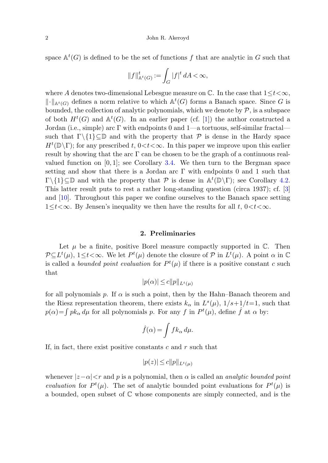space  $\mathbb{A}^t(G)$  is defined to be the set of functions f that are analytic in G such that

$$
||f||_{\mathbb{A}^t(G)}^t := \int_G |f|^t \, dA < \infty,
$$

where A denotes two-dimensional Lebesgue measure on  $\mathbb{C}$ . In the case that  $1 \leq t < \infty$ ,  $\lVert \cdot \rVert_{\mathbb{A}^t(G)}$  defines a norm relative to which  $\mathbb{A}^t(G)$  forms a Banach space. Since G is bounded, the collection of analytic polynomials, which we denote by  $P$ , is a subspace of both  $H^t(G)$  and  $\mathbb{A}^t(G)$ . In an earlier paper (cf. [[1\]](#page-14-0)) the author constructed a Jordan (i.e., simple) arc Γ with endpoints 0 and 1—a tortuous, self-similar fractal such that  $\Gamma \setminus \{1\} \subset \mathbb{D}$  and with the property that  $\mathcal P$  is dense in the Hardy space  $H^t(\mathbb{D}\backslash\Gamma)$ ; for any prescribed t,  $0 < t < \infty$ . In this paper we improve upon this earlier result by showing that the arc Γ can be chosen to be the graph of a continuous realvalued function on  $[0, 1]$ ; see Corollary [3.4](#page-7-0). We then turn to the Bergman space setting and show that there is a Jordan arc  $\Gamma$  with endpoints 0 and 1 such that  $\Gamma \backslash \{1\} \subseteq \mathbb{D}$  and with the property that  $\mathcal P$  is dense in  $\mathbb{A}^t(\mathbb{D}\backslash\Gamma)$ ; see Corollary [4.2.](#page-13-0) This latter result puts to rest a rather long-standing question (circa 1937); cf. [[3\]](#page-15-0) and [\[10\]](#page-15-1). Throughout this paper we confine ourselves to the Banach space setting  $1 \leq t \leq \infty$ . By Jensen's inequality we then have the results for all t,  $0 \leq t \leq \infty$ .

#### **2. Preliminaries**

<span id="page-1-0"></span>Let  $\mu$  be a finite, positive Borel measure compactly supported in  $\mathbb{C}$ . Then  $\mathcal{P}\subseteq L^t(\mu), 1\leq t<\infty$ . We let  $P^t(\mu)$  denote the closure of  $\mathcal P$  in  $L^t(\mu)$ . A point  $\alpha$  in  $\mathbb C$ is called a *bounded point evaluation* for  $P^t(\mu)$  if there is a positive constant c such that

$$
|p(\alpha)| \le c ||p||_{L^t(\mu)}
$$

for all polynomials p. If  $\alpha$  is such a point, then by the Hahn–Banach theorem and the Riesz representation theorem, there exists  $k_{\alpha}$  in  $L^{s}(\mu)$ ,  $1/s+1/t=1$ , such that  $p(\alpha) = \int p k_{\alpha} d\mu$  for all polynomials p. For any f in  $P^t(\mu)$ , define  $\hat{f}$  at  $\alpha$  by:

$$
\hat{f}(\alpha) = \int f k_{\alpha} d\mu.
$$

If, in fact, there exist positive constants  $c$  and  $r$  such that

$$
|p(z)| \le c ||p||_{L^t(\mu)}
$$

whenever  $|z-\alpha| < r$  and p is a polynomial, then  $\alpha$  is called an *analytic bounded point* evaluation for  $P^t(\mu)$ . The set of analytic bounded point evaluations for  $P^t(\mu)$  is a bounded, open subset of C whose components are simply connected, and is the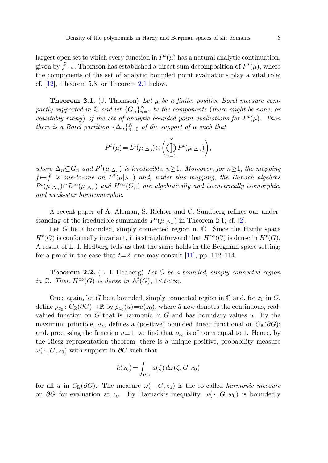<span id="page-2-0"></span>largest open set to which every function in  $P^t(\mu)$  has a natural analytic continuation, given by  $\hat{f}$ . J. Thomson has established a direct sum decomposition of  $P^t(\mu)$ , where the components of the set of analytic bounded point evaluations play a vital role; cf. [[12\]](#page-15-2), Theorem 5.8, or Theorem [2.1](#page-2-0) below.

**Theorem 2.1.** (J. Thomson) Let  $\mu$  be a finite, positive Borel measure compactly supported in  $\mathbb C$  and let  $\{G_n\}_{n=1}^N$  be the components (there might be none, or countably many) of the set of analytic bounded point evaluations for  $P^t(\mu)$ . Then there is a Borel partition  $\{\Delta_n\}_{n=0}^N$  of the support of  $\mu$  such that

$$
P^{t}(\mu) = L^{t}(\mu|_{\Delta_0}) \oplus \left(\bigoplus_{n=1}^{N} P^{t}(\mu|_{\Delta_n})\right),
$$

where  $\Delta_n \subseteq \overline{G}_n$  and  $P^t(\mu|_{\Delta_n})$  is irreducible,  $n \geq 1$ . Moreover, for  $n \geq 1$ , the mapping  $f \mapsto \hat{f}$  is one-to-one on  $P^t(\mu|_{\Delta_n})$  and, under this mapping, the Banach algebras  $P^t(\mu|_{\Delta_n}) \cap L^{\infty}(\mu|_{\Delta_n})$  and  $H^{\infty}(G_n)$  are algebraically and isometrically isomorphic, and weak-star homeomorphic.

<span id="page-2-1"></span>A recent paper of A. Aleman, S. Richter and C. Sundberg refines our understanding of the irreducible summands  $P^t(\mu|_{\Delta_n})$  in Theorem 2.1; cf. [\[2](#page-14-1)].

Let  $G$  be a bounded, simply connected region in  $\mathbb{C}$ . Since the Hardy space  $H^t(G)$  is conformally invariant, it is straightforward that  $H^{\infty}(G)$  is dense in  $H^t(G)$ . A result of L. I. Hedberg tells us that the same holds in the Bergman space setting; for a proof in the case that  $t=2$ , one may consult [\[11](#page-15-3)], pp. 112–114.

**Theorem 2***.***2.** (L. I. Hedberg) Let G be a bounded, simply connected region in  $\mathbb{C}$ . Then  $H^{\infty}(G)$  is dense in  $\mathbb{A}^{t}(G)$ ,  $1 \leq t < \infty$ .

Once again, let G be a bounded, simply connected region in  $\mathbb C$  and, for  $z_0$  in  $G$ , define  $\rho_{z_0}$ :  $C_{\mathbb{R}}(\partial G) \to \mathbb{R}$  by  $\rho_{z_0}(u) = \hat{u}(z_0)$ , where  $\hat{u}$  now denotes the continuous, realvalued function on  $\overline{G}$  that is harmonic in G and has boundary values u. By the maximum principle,  $\rho_{z_0}$  defines a (positive) bounded linear functional on  $C_{\mathbb{R}}(\partial G)$ ; and, processing the function  $u \equiv 1$ , we find that  $\rho_{z_0}$  is of norm equal to 1. Hence, by the Riesz representation theorem, there is a unique positive, probability measure  $\omega(\cdot, G, z_0)$  with support in ∂G such that

$$
\hat{u}(z_0) = \int_{\partial G} u(\zeta) \, d\omega(\zeta, G, z_0)
$$

for all u in  $C_{\mathbb{R}}(\partial G)$ . The measure  $\omega(\cdot, G, z_0)$  is the so-called *harmonic measure* on  $\partial G$  for evaluation at  $z_0$ . By Harnack's inequality,  $\omega(\cdot, G, w_0)$  is boundedly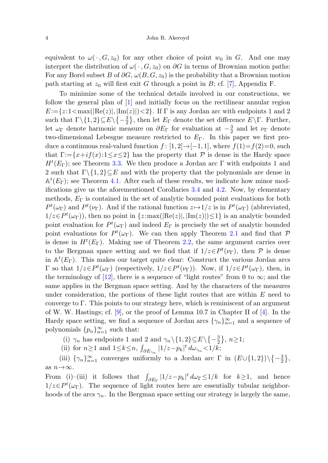equivalent to  $\omega(\cdot, G, z_0)$  for any other choice of point  $w_0$  in G. And one may interpret the distribution of  $\omega(\cdot, G, z_0)$  on  $\partial G$  in terms of Brownian motion paths: For any Borel subset B of  $\partial G$ ,  $\omega(B, G, z_0)$  is the probability that a Brownian motion path starting at  $z_0$  will first exit G through a point in B; cf. [[7](#page-15-4)], Appendix F.

To minimize some of the technical details involved in our constructions, we follow the general plan of [[1\]](#page-14-0) and initially focus on the rectilinear annular region  $E:=\{z:1\le\max(|\text{Re}(z)|, |\text{Im}(z)|)\le 2\}$ . If  $\Gamma$  is any Jordan arc with endpoints 1 and 2 such that  $\Gamma \setminus \{1,2\} \subseteq E \setminus \{-\frac{3}{2}\},\$  then let  $E_{\Gamma}$  denote the set difference  $E \setminus \Gamma$ . Further, let  $\omega_{\Gamma}$  denote harmonic measure on  $\partial E_{\Gamma}$  for evaluation at  $-\frac{3}{2}$  and let  $\nu_{\Gamma}$  denote two-dimensional Lebesgue measure restricted to  $E_{\Gamma}$ . In this paper we first produce a continuous real-valued function  $f : [1, 2] \rightarrow [-1, 1]$ , where  $f(1) = f(2) = 0$ , such that  $\Gamma := \{x+i f(x): 1 \le x \le 2\}$  has the property that P is dense in the Hardy space  $H^t(E_{\Gamma})$ ; see Theorem [3.3.](#page-5-0) We then produce a Jordan arc  $\Gamma$  with endpoints 1 and 2 such that  $\Gamma\backslash\{1,2\}\subseteq E$  and with the property that the polynomials are dense in  $\mathbb{A}^t(E_{\Gamma})$ ; see Theorem [4.1](#page-9-0). After each of these results, we indicate how minor modifications give us the aforementioned Corollaries [3.4](#page-7-0) and [4.2](#page-13-0). Now, by elementary methods,  $E_{\Gamma}$  is contained in the set of analytic bounded point evaluations for both  $P^t(\omega_{\Gamma})$  and  $P^t(\nu_{\Gamma})$ . And if the rational function  $z \mapsto 1/z$  is in  $P^t(\omega_{\Gamma})$  (abbreviated,  $1/z \in P^t(\omega_{\Gamma})$ , then no point in  $\{z \in \text{max}(|\text{Re}(z)|, |\text{Im}(z)|) \leq 1\}$  is an analytic bounded point evaluation for  $P^t(\omega_{\Gamma})$  and indeed  $E_{\Gamma}$  is precisely the set of analytic bounded point evaluations for  $P^t(\omega_{\Gamma})$ . We can then apply Theorem [2.1](#page-2-0) and find that  $\mathcal P$ is dense in  $H^t(E_\Gamma)$ . Making use of Theorem [2.2](#page-2-1), the same argument carries over to the Bergman space setting and we find that if  $1/z \in P^t(\nu)$ , then  $P$  is dense in  $\mathbb{A}^t(E_{\Gamma})$ . This makes our target quite clear: Construct the various Jordan arcs  $\Gamma$  so that  $1/z \in P^t(\omega_{\Gamma})$  (respectively,  $1/z \in P^t(\nu_{\Gamma})$ ). Now, if  $1/z \in P^t(\omega_{\Gamma})$ , then, in the terminology of [\[12](#page-15-2)], there is a sequence of "light routes" from 0 to  $\infty$ ; and the same applies in the Bergman space setting. And by the characters of the measures under consideration, the portions of these light routes that are within  $E$  need to converge to Γ. This points to our strategy here, which is reminiscent of an argument of W. W. Hastings; cf. [\[9](#page-15-5)], or the proof of Lemma 10.7 in Chapter II of [[4\]](#page-15-6). In the Hardy space setting, we find a sequence of Jordan arcs  $\{\gamma_n\}_{n=1}^{\infty}$  and a sequence of polynomials  ${p_n}_{n=1}^{\infty}$  such that:

(i)  $\gamma_n$  has endpoints 1 and 2 and  $\gamma_n \setminus \{1,2\} \subseteq E \setminus \{-\frac{3}{2}\}, n \geq 1;$ 

(ii) for  $n \geq 1$  and  $1 \leq k \leq n$ ,  $\int_{\partial E_{\gamma_n}} |1/z - p_k|^t d\omega_{\gamma_n} < 1/k$ ;

(iii)  $\{\gamma_n\}_{n=1}^{\infty}$  converges uniformly to a Jordan arc  $\Gamma$  in  $(E\cup\{1,2\})\setminus\{-\frac{3}{2}\},\$ as  $n \rightarrow \infty$ .

From (i)–(iii) it follows that  $\int_{\partial E_{\Gamma}} |1/z - p_k|^t d\omega_{\Gamma} \leq 1/k$  for  $k \geq 1$ , and hence  $1/z \in P^t(\omega_{\Gamma})$ . The sequence of light routes here are essentially tubular neighborhoods of the arcs  $\gamma_n$ . In the Bergman space setting our strategy is largely the same,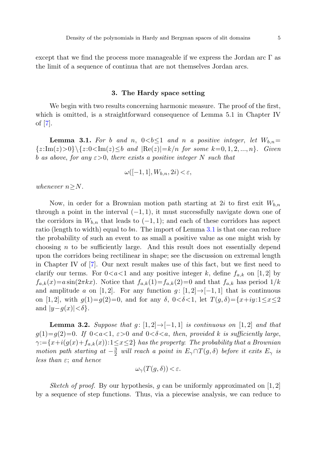<span id="page-4-2"></span><span id="page-4-0"></span>except that we find the process more manageable if we express the Jordan arc  $\Gamma$  as the limit of a sequence of continua that are not themselves Jordan arcs.

# **3. The Hardy space setting**

We begin with two results concerning harmonic measure. The proof of the first, which is omitted, is a straightforward consequence of Lemma 5.1 in Chapter IV of [[7\]](#page-15-4).

**Lemma 3.1.** For b and n,  $0 < b \le 1$  and n a positive integer, let  $W_{b,n} =$  $\{z:\text{Im}(z)>0\}\setminus\{z:0<\text{Im}(z)\leq b \text{ and } |\text{Re}(z)|=k/n \text{ for some } k=0,1,2,...,n\}.$  Given b as above, for any  $\varepsilon > 0$ , there exists a positive integer N such that

$$
\omega([-1,1], W_{b,n}, 2i) < \varepsilon
$$

whenever  $n \geq N$ .

<span id="page-4-1"></span>Now, in order for a Brownian motion path starting at 2i to first exit  $W_{b,n}$ through a point in the interval  $(-1, 1)$ , it must successfully navigate down one of the corridors in  $W_{b,n}$  that leads to  $(-1,1)$ ; and each of these corridors has aspect ratio (length to width) equal to bn. The import of Lemma [3.1](#page-4-0) is that one can reduce the probability of such an event to as small a positive value as one might wish by choosing  $n$  to be sufficiently large. And this result does not essentially depend upon the corridors being rectilinear in shape; see the discussion on extremal length in Chapter IV of [\[7](#page-15-4)]. Our next result makes use of this fact, but we first need to clarify our terms. For  $0 < a < 1$  and any positive integer k, define  $f_{a,k}$  on [1, 2] by  $f_{a,k}(x) = a \sin(2\pi kx)$ . Notice that  $f_{a,k}(1) = f_{a,k}(2) = 0$  and that  $f_{a,k}$  has period  $1/k$ and amplitude a on [1, 2]. For any function g: [1, 2]  $\rightarrow$ [-1, 1] that is continuous on [1, 2], with  $g(1)=g(2)=0$ , and for any  $\delta$ ,  $0<\delta<1$ , let  $T(g,\delta)=\{x+iy:1\leq x\leq 2$ and  $|y-g(x)|<\delta$ .

**Lemma 3.2.** Suppose that  $g: [1, 2] \rightarrow [-1, 1]$  is continuous on  $[1, 2]$  and that  $g(1)=g(2)=0$ . If  $0<\alpha<1, \varepsilon>0$  and  $0<\delta<\alpha$ , then, provided k is sufficiently large,  $\gamma:=\{x+i(g(x)+f_{a,k}(x)) : 1 \leq x \leq 2\}$  has the property: The probability that a Brownian motion path starting at  $-\frac{3}{2}$  will reach a point in  $E_{\gamma} \cap T(g, \delta)$  before it exits  $E_{\gamma}$  is less than  $\varepsilon$ ; and hence

$$
\omega_{\gamma}(T(g,\delta)) < \varepsilon.
$$

Sketch of proof. By our hypothesis, q can be uniformly approximated on  $[1, 2]$ by a sequence of step functions. Thus, via a piecewise analysis, we can reduce to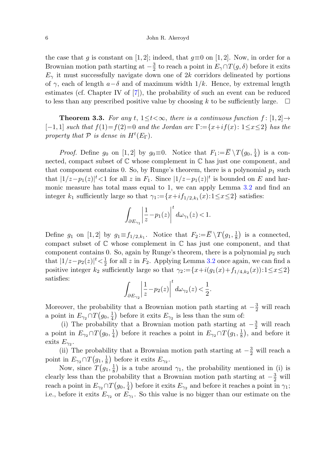<span id="page-5-0"></span>the case that q is constant on [1, 2]; indeed, that  $q \equiv 0$  on [1, 2]. Now, in order for a Brownian motion path starting at  $-\frac{3}{2}$  to reach a point in  $E_{\gamma} \cap T(g, \delta)$  before it exits  $E_{\gamma}$  it must successfully navigate down one of 2k corridors delineated by portions of  $\gamma$ , each of length  $a-\delta$  and of maximum width 1/k. Hence, by extremal length estimates (cf. Chapter IV of [\[7](#page-15-4)]), the probability of such an event can be reduced to less than any prescribed positive value by choosing k to be sufficiently large.  $\Box$ 

**Theorem 3.3.** For any t,  $1 \le t < \infty$ , there is a continuous function  $f : [1, 2] \rightarrow$  $[-1, 1]$  such that  $f(1)=f(2)=0$  and the Jordan arc  $\Gamma:=\{x+i f(x): 1 \leq x \leq 2\}$  has the property that  $P$  is dense in  $H^t(E_{\Gamma}).$ 

*Proof.* Define  $g_0$  on [1,2] by  $g_0 \equiv 0$ . Notice that  $F_1 := \overline{E} \setminus T(g_0, \frac{1}{4})$  is a connected, compact subset of C whose complement in C has just one component, and that component contains 0. So, by Runge's theorem, there is a polynomial  $p_1$  such that  $|1/z-p_1(z)|^t$  < 1 for all z in  $F_1$ . Since  $|1/z-p_1(z)|^t$  is bounded on E and harmonic measure has total mass equal to 1, we can apply Lemma [3.2](#page-4-1) and find an integer  $k_1$  sufficiently large so that  $\gamma_1 := \{x + i f_{1/2,k_1}(x): 1 \leq x \leq 2\}$  satisfies:

$$
\int_{\partial E_{\gamma_1}} \left| \frac{1}{z} - p_1(z) \right|^t d\omega_{\gamma_1}(z) < 1.
$$

Define  $g_1$  on [1,2] by  $g_1 \equiv f_{1/2,k_1}$ . Notice that  $F_2 := \overline{E} \setminus T(g_1, \frac{1}{8})$  is a connected, compact subset of  $\mathbb C$  whose complement in  $\mathbb C$  has just one component, and that component contains 0. So, again by Runge's theorem, there is a polynomial  $p_2$  such that  $|1/z - p_2(z)|^t < \frac{1}{2}$  for all z in  $F_2$ . Applying Lemma [3.2](#page-4-1) once again, we can find a positive integer  $k_2$  sufficiently large so that  $\gamma_2 := \{x+i(g_1(x)+f_{1/4,k_2}(x)) : 1 \leq x \leq 2\}$ satisfies:

$$
\int_{\partial E_{\gamma_2}} \left| \frac{1}{z} - p_2(z) \right|^t d\omega_{\gamma_2}(z) < \frac{1}{2}.
$$

Moreover, the probability that a Brownian motion path starting at  $-\frac{3}{2}$  will reach a point in  $E_{\gamma_2} \cap T(g_0, \frac{1}{4})$  before it exits  $E_{\gamma_2}$  is less than the sum of:

(i) The probability that a Brownian motion path starting at  $-\frac{3}{2}$  will reach a point in  $E_{\gamma_2} \cap T(g_0, \frac{1}{4})$  before it reaches a point in  $E_{\gamma_2} \cap T(g_1, \frac{1}{8})$ , and before it exits  $E_{\gamma_2}$ .

(ii) The probability that a Brownian motion path starting at  $-\frac{3}{2}$  will reach a point in  $E_{\gamma_2} \cap T(g_1, \frac{1}{8})$  before it exits  $E_{\gamma_2}$ .

Now, since  $T(g_1, \frac{1}{8})$  is a tube around  $\gamma_1$ , the probability mentioned in (i) is clearly less than the probability that a Brownian motion path starting at  $-\frac{3}{2}$  will reach a point in  $E_{\gamma_2} \cap T(g_0, \frac{1}{4})$  before it exits  $E_{\gamma_2}$  and before it reaches a point in  $\gamma_1$ ; i.e., before it exits  $E_{\gamma_2}$  or  $E_{\gamma_1}$ . So this value is no bigger than our estimate on the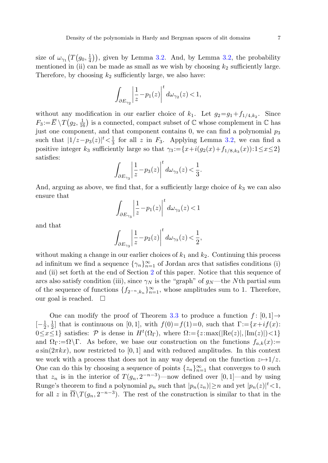size of  $\omega_{\gamma_1}(T(g_0, \frac{1}{4}))$ , given by Lemma [3.2.](#page-4-1) And, by Lemma [3.2](#page-4-1), the probability mentioned in (ii) can be made as small as we wish by choosing  $k_2$  sufficiently large. Therefore, by choosing  $k_2$  sufficiently large, we also have:

$$
\int_{\partial E_{\gamma_2}} \left| \frac{1}{z} - p_1(z) \right|^t d\omega_{\gamma_2}(z) < 1,
$$

without any modification in our earlier choice of  $k_1$ . Let  $g_2 = g_1 + f_{1/4,k_2}$ . Since  $F_3 := \overline{E} \setminus T(g_2, \frac{1}{16})$  is a connected, compact subset of  $\mathbb C$  whose complement in  $\mathbb C$  has just one component, and that component contains  $0$ , we can find a polynomial  $p_3$ such that  $|1/z-p_3(z)|^t < \frac{1}{3}$  for all z in  $F_3$ . Applying Lemma [3.2,](#page-4-1) we can find a positive integer  $k_3$  sufficiently large so that  $\gamma_3 := \{x+i(g_2(x)+f_{1/8,k_3}(x)) : 1 \leq x \leq 2\}$ satisfies:

$$
\int_{\partial E_{\gamma_3}} \left| \frac{1}{z} - p_3(z) \right|^t d\omega_{\gamma_3}(z) < \frac{1}{3}.
$$

And, arguing as above, we find that, for a sufficiently large choice of  $k_3$  we can also ensure that

$$
\int_{\partial E_{\gamma_3}} \left| \frac{1}{z} - p_1(z) \right|^t d\omega_{\gamma_3}(z) < 1
$$

and that

$$
\int_{\partial E_{\gamma_3}} \left| \frac{1}{z} - p_2(z) \right|^t d\omega_{\gamma_3}(z) < \frac{1}{2},
$$

without making a change in our earlier choices of  $k_1$  and  $k_2$ . Continuing this process ad infinitum we find a sequence  $\{\gamma_n\}_{n=1}^{\infty}$  of Jordan arcs that satisfies conditions (i) and (ii) set forth at the end of Section [2](#page-1-0) of this paper. Notice that this sequence of arcs also satisfy condition (iii), since  $\gamma_N$  is the "graph" of  $g_N$ —the Nth partial sum of the sequence of functions  $\{f_{2^{-n},k_n}\}_{n=1}^{\infty}$ , whose amplitudes sum to 1. Therefore, our goal is reached.  $\Box$ 

One can modify the proof of Theorem [3.3](#page-5-0) to produce a function  $f: [0,1] \rightarrow$  $[-\frac{1}{2}, \frac{1}{2}]$  that is continuous on [0, 1], with  $f(0) = f(1) = 0$ , such that  $\Gamma := \{x + if(x) :$  $0 \leq x \leq 1$ } satisfies:  $P$  is dense in  $H^t(\Omega_{\Gamma})$ , where  $\Omega := \{z \colon \max(|\text{Re}(z)|, |\text{Im}(z)|) < 1\}$ and  $\Omega_{\Gamma} := \Omega \backslash \Gamma$ . As before, we base our construction on the functions  $f_{a,k}(x) :=$  $a \sin(2\pi kx)$ , now restricted to [0, 1] and with reduced amplitudes. In this context we work with a process that does not in any way depend on the function  $z \mapsto 1/z$ . One can do this by choosing a sequence of points  $\{z_n\}_{n=1}^{\infty}$  that converges to 0 such that  $z_n$  is in the interior of  $T(g_n, 2^{-n-3})$ —now defined over [0, 1]—and by using Runge's theorem to find a polynomial  $p_n$  such that  $|p_n(z_n)| \geq n$  and yet  $|p_n(z)|^t$ <1, for all z in  $\overline{\Omega} \backslash T(g_n, 2^{-n-3})$ . The rest of the construction is similar to that in the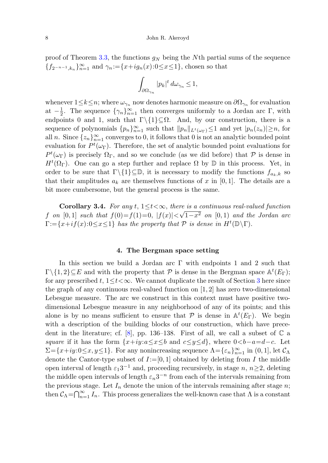proof of Theorem [3.3](#page-5-0), the functions  $q_N$  being the Nth partial sums of the sequence  ${f_{2^{-n-1},k_n}}_{n=1}^{\infty}$  and  $\gamma_n := {x+ig_n(x):0 \le x \le 1}$ , chosen so that

$$
\int_{\partial\Omega_{\gamma_n}}|p_k|^t\,d\omega_{\gamma_n}\leq 1,
$$

<span id="page-7-0"></span>whenever  $1 \leq k \leq n$ ; where  $\omega_{\gamma_n}$  now denotes harmonic measure on  $\partial \Omega_{\gamma_n}$  for evaluation at  $-\frac{1}{2}$ . The sequence  $\{\gamma_n\}_{n=1}^{\infty}$  then converges uniformly to a Jordan arc  $\Gamma$ , with endpoints 0 and 1, such that  $\Gamma \setminus \{1\} \subseteq \Omega$ . And, by our construction, there is a sequence of polynomials  $\{p_n\}_{n=1}^{\infty}$  such that  $||p_n||_{L^t(\omega_{\Gamma})} \leq 1$  and yet  $|p_n(z_n)| \geq n$ , for all n. Since  $\{z_n\}_{n=1}^{\infty}$  converges to 0, it follows that 0 is not an analytic bounded point evaluation for  $P^t(\omega_{\Gamma})$ . Therefore, the set of analytic bounded point evaluations for  $P^t(\omega_{\Gamma})$  is precisely  $\Omega_{\Gamma}$ , and so we conclude (as we did before) that  $P$  is dense in  $H^t(\Omega_\Gamma)$ . One can go a step further and replace  $\Omega$  by  $\mathbb D$  in this process. Yet, in order to be sure that  $\Gamma \setminus \{1\} \subseteq \mathbb{D}$ , it is necessary to modify the functions  $f_{a_k,k}$  so that their amplitudes  $a_k$  are themselves functions of x in [0,1]. The details are a bit more cumbersome, but the general process is the same.

**Corollary 3.4.** For any t,  $1 \le t \le \infty$ , there is a continuous real-valued function f on  $[0, 1]$  such that  $f(0)=f(1)=0, |f(x)|<$  $\sqrt{1-x^2}$  on [0, 1) and the Jordan arc  $\Gamma := \{x + if(x): 0 \le x \le 1\}$  has the property that  $P$  is dense in  $H^t(\mathbb{D}\backslash\Gamma)$ .

#### **4. The Bergman space setting**

In this section we build a Jordan arc  $\Gamma$  with endpoints 1 and 2 such that  $\Gamma \backslash \{1,2\} \subseteq E$  and with the property that  $P$  is dense in the Bergman space  $\mathbb{A}^{t}(E_{\Gamma});$ for any prescribed t,  $1 \le t \le \infty$ . We cannot duplicate the result of Section [3](#page-4-2) here since the graph of any continuous real-valued function on  $[1, 2]$  has zero two-dimensional Lebesgue measure. The arc we construct in this context must have positive twodimensional Lebesgue measure in any neighborhood of any of its points; and this alone is by no means sufficient to ensure that  $P$  is dense in  $\mathbb{A}^{t}(E_{\Gamma})$ . We begin with a description of the building blocks of our construction, which have prece-dent in the literature; cf. [[8\]](#page-15-7), pp. 136–138. First of all, we call a subset of  $\mathbb C$  a square if it has the form  $\{x+iy: a \leq x \leq b \text{ and } c \leq y \leq d\}$ , where  $0 < b-a=d-c$ . Let  $\Sigma = \{x+iy: 0 \le x, y \le 1\}$ . For any nonincreasing sequence  $\Lambda = \{\varepsilon_n\}_{n=1}^{\infty}$  in  $(0, 1]$ , let  $\mathcal{C}_{\Lambda}$ denote the Cantor-type subset of  $I := [0, 1]$  obtained by deleting from I the middle open interval of length  $\varepsilon_1 3^{-1}$  and, proceeding recursively, in stage n,  $n>2$ , deleting the middle open intervals of length  $\varepsilon_n 3^{-n}$  from each of the intervals remaining from the previous stage. Let  $I_n$  denote the union of the intervals remaining after stage n; then  $\mathcal{C}_{\Lambda} = \bigcap_{n=1}^{\infty} I_n$ . This process generalizes the well-known case that  $\Lambda$  is a constant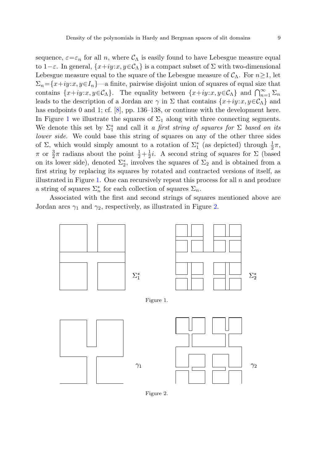sequence,  $\varepsilon = \varepsilon_n$  for all n, where  $\mathcal{C}_{\Lambda}$  is easily found to have Lebesgue measure equal to  $1-\varepsilon$ . In general,  $\{x+iy:x,y\in\mathcal{C}_\Lambda\}$  is a compact subset of  $\Sigma$  with two-dimensional Lebesgue measure equal to the square of the Lebesgue measure of  $C_\Lambda$ . For  $n \geq 1$ , let  $\Sigma_n = \{x+iy:x, y \in I_n\}$ —a finite, pairwise disjoint union of squares of equal size that contains  $\{x+iy:x,y\in\mathcal{C}_\Lambda\}$ . The equality between  $\{x+iy:x,y\in\mathcal{C}_\Lambda\}$  and  $\bigcap_{n=1}^\infty\Sigma_n$ leads to the description of a Jordan arc  $\gamma$  in  $\Sigma$  that contains  $\{x+iy:x,y\in\mathcal{C}_\Lambda\}$  and has endpoints 0 and 1; cf. [[8\]](#page-15-7), pp. 136–138, or continue with the development here. In Figure [1](#page-8-0) we illustrate the squares of  $\Sigma_1$  along with three connecting segments. We denote this set by  $\Sigma_1^*$  and call it a first string of squares for  $\Sigma$  based on its lower side. We could base this string of squares on any of the other three sides of  $\Sigma$ , which would simply amount to a rotation of  $\Sigma_1^*$  (as depicted) through  $\frac{1}{2}\pi$ , π or  $\frac{3}{2}$ π radians about the point  $\frac{1}{2} + \frac{1}{2}i$ . A second string of squares for Σ (based on its lower side), denoted  $\Sigma_2^*$ , involves the squares of  $\Sigma_2$  and is obtained from a first string by replacing its squares by rotated and contracted versions of itself, as illustrated in Figure [1](#page-8-0). One can recursively repeat this process for all  $n$  and produce a string of squares  $\Sigma_n^*$  for each collection of squares  $\Sigma_n$ .

<span id="page-8-0"></span>Associated with the first and second strings of squares mentioned above are Jordan arcs  $\gamma_1$  and  $\gamma_2$  $\gamma_2$ , respectively, as illustrated in Figure 2.

<span id="page-8-1"></span>

Figure 2.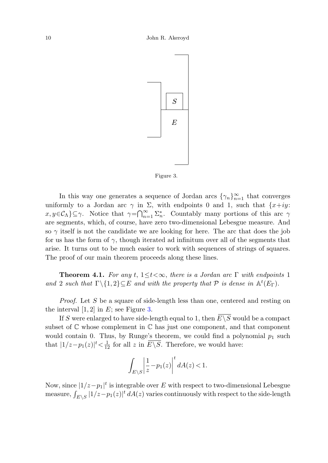

Figure 3.

<span id="page-9-1"></span><span id="page-9-0"></span>In this way one generates a sequence of Jordan arcs  $\{\gamma_n\}_{n=1}^{\infty}$  that converges uniformly to a Jordan arc  $\gamma$  in  $\Sigma$ , with endpoints 0 and 1, such that  $\{x+iy:$  $x, y \in C_\Lambda$ } $\subseteq \gamma$ . Notice that  $\gamma = \bigcap_{n=1}^\infty \Sigma_n^*$ . Countably many portions of this arc  $\gamma$ are segments, which, of course, have zero two-dimensional Lebesgue measure. And so  $\gamma$  itself is not the candidate we are looking for here. The arc that does the job for us has the form of  $\gamma$ , though iterated ad infinitum over all of the segments that arise. It turns out to be much easier to work with sequences of strings of squares. The proof of our main theorem proceeds along these lines.

**Theorem 4.1.** For any t,  $1 \le t \le \infty$ , there is a Jordan arc  $\Gamma$  with endpoints 1 and 2 such that  $\Gamma \backslash \{1,2\} \subseteq E$  and with the property that  $P$  is dense in  $\mathbb{A}^t(E_{\Gamma}).$ 

Proof. Let S be a square of side-length less than one, centered and resting on the interval  $[1, 2]$  in E; see Figure [3.](#page-9-1)

If S were enlarged to have side-length equal to 1, then  $\overline{E\setminus S}$  would be a compact subset of  $\mathbb C$  whose complement in  $\mathbb C$  has just one component, and that component would contain 0. Thus, by Runge's theorem, we could find a polynomial  $p_1$  such that  $|1/z - p_1(z)|^t < \frac{1}{12}$  for all z in  $\overline{E \setminus S}$ . Therefore, we would have:

$$
\int_{E\setminus S} \left| \frac{1}{z} - p_1(z) \right|^t dA(z) < 1.
$$

Now, since  $|1/z-p_1|^t$  is integrable over E with respect to two-dimensional Lebesgue measure,  $\int_{E\setminus S} |1/z - p_1(z)|^t dA(z)$  varies continuously with respect to the side-length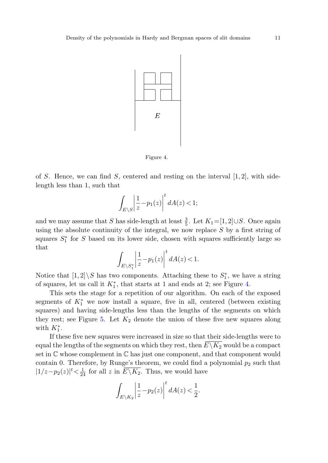

Figure 4.

<span id="page-10-0"></span>of S. Hence, we can find S, centered and resting on the interval  $[1, 2]$ , with sidelength less than 1, such that

$$
\int_{E\setminus S} \left| \frac{1}{z} - p_1(z) \right|^t dA(z) < 1;
$$

and we may assume that S has side-length at least  $\frac{3}{5}$ . Let  $K_1 = [1, 2] \cup S$ . Once again using the absolute continuity of the integral, we now replace S by a first string of squares  $S_1^*$  for S based on its lower side, chosen with squares sufficiently large so that

$$
\int_{E \setminus S_1^*} \left| \frac{1}{z} - p_1(z) \right|^t dA(z) < 1.
$$

Notice that  $[1,2]\backslash S$  has two components. Attaching these to  $S_1^*$ , we have a string of squares, let us call it  $K_1^*$ , that starts at 1 and ends at 2; see Figure [4](#page-10-0).

This sets the stage for a repetition of our algorithm. On each of the exposed segments of  $K_1^*$  we now install a square, five in all, centered (between existing squares) and having side-lengths less than the lengths of the segments on which they rest; see Figure [5](#page-11-0). Let  $K_2$  denote the union of these five new squares along with  $K_1^*$ .

If these five new squares were increased in size so that their side-lengths were to equal the lengths of the segments on which they rest, then  $\overline{E\setminus K_2}$  would be a compact set in  $\mathbb C$  whose complement in  $\mathbb C$  has just one component, and that component would contain 0. Therefore, by Runge's theorem, we could find a polynomial  $p_2$  such that  $|1/z-p_2(z)|^t < \frac{1}{24}$  for all z in  $\overline{E \setminus K_2}$ . Thus, we would have

$$
\int_{E\setminus K_2} \left| \frac{1}{z} - p_2(z) \right|^t dA(z) < \frac{1}{2}.
$$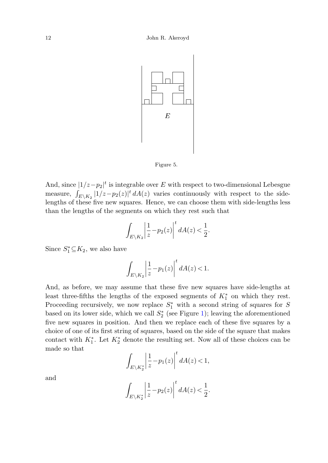



<span id="page-11-0"></span>And, since  $|1/z-p_2|^t$  is integrable over E with respect to two-dimensional Lebesgue measure,  $\int_{E\backslash K_2} |1/z - p_2(z)|^t dA(z)$  varies continuously with respect to the sidelengths of these five new squares. Hence, we can choose them with side-lengths less than the lengths of the segments on which they rest such that

$$
\int_{E\setminus K_2} \left| \frac{1}{z} - p_2(z) \right|^t dA(z) < \frac{1}{2}.
$$

Since  $S_1^* \subseteq K_2$ , we also have

$$
\int_{E \setminus K_2} \left| \frac{1}{z} - p_1(z) \right|^t dA(z) < 1.
$$

And, as before, we may assume that these five new squares have side-lengths at least three-fifths the lengths of the exposed segments of  $K_1^*$  on which they rest. Proceeding recursively, we now replace  $S_1^*$  with a second string of squares for S based on its lower side, which we call  $S_2^*$  (see Figure [1](#page-8-0)); leaving the aforementioned five new squares in position. And then we replace each of these five squares by a choice of one of its first string of squares, based on the side of the square that makes contact with  $K_1^*$ . Let  $K_2^*$  denote the resulting set. Now all of these choices can be made so that

$$
\int_{E\setminus K_2^*} \left| \frac{1}{z} - p_1(z) \right|^t dA(z) < 1,
$$

and

$$
\int_{E \backslash K_2^*} \left| \frac{1}{z} - p_2(z) \right|^t dA(z) < \frac{1}{2}.
$$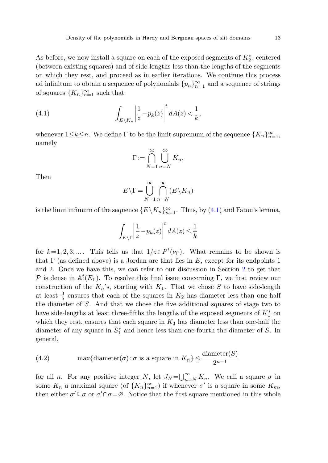<span id="page-12-0"></span>As before, we now install a square on each of the exposed segments of  $K_2^*$ , centered (between existing squares) and of side-lengths less than the lengths of the segments on which they rest, and proceed as in earlier iterations. We continue this process ad infinitum to obtain a sequence of polynomials  $\{p_n\}_{n=1}^{\infty}$  and a sequence of strings of squares  $\{K_n\}_{n=1}^{\infty}$  such that

(4.1) 
$$
\int_{E\setminus K_n} \left|\frac{1}{z} - p_k(z)\right|^t dA(z) < \frac{1}{k},
$$

whenever  $1 \leq k \leq n$ . We define  $\Gamma$  to be the limit supremum of the sequence  $\{K_n\}_{n=1}^{\infty}$ , namely

$$
\Gamma := \bigcap_{N=1}^{\infty} \bigcup_{n=N}^{\infty} K_n.
$$

Then

$$
E\backslash\Gamma=\bigcup_{N=1}^{\infty}\bigcap_{n=N}^{\infty}(E\backslash K_n)
$$

is the limit infimum of the sequence  $\{E \setminus K_n\}_{n=1}^{\infty}$ . Thus, by  $(4.1)$  $(4.1)$  $(4.1)$  and Fatou's lemma,

$$
\int_{E \setminus \Gamma} \left| \frac{1}{z} - p_k(z) \right|^t dA(z) \le \frac{1}{k}
$$

<span id="page-12-1"></span>for  $k=1, 2, 3,...$  This tells us that  $1/z \in P^t(\nu)$ . What remains to be shown is that  $\Gamma$  (as defined above) is a Jordan arc that lies in E, except for its endpoints 1 and 2. Once we have this, we can refer to our discussion in Section [2](#page-1-0) to get that P is dense in  $\mathbb{A}^t(E_\Gamma)$ . To resolve this final issue concerning  $\Gamma$ , we first review our construction of the  $K_n$ 's, starting with  $K_1$ . That we chose S to have side-length at least  $\frac{3}{5}$  ensures that each of the squares in  $K_2$  has diameter less than one-half the diameter of S. And that we chose the five additional squares of stage two to have side-lengths at least three-fifths the lengths of the exposed segments of  $K_{1}^{\ast}$  on which they rest, ensures that each square in  $K_3$  has diameter less than one-half the diameter of any square in  $S_1^*$  and hence less than one-fourth the diameter of S. In general,

(4.2) 
$$
\max{\text{diameter}(\sigma): \sigma \text{ is a square in } K_n} \leq \frac{\text{diameter}(S)}{2^{n-1}}
$$

for all *n*. For any positive integer N, let  $J_N = \bigcup_{n=N}^{\infty} K_n$ . We call a square  $\sigma$  in some  $K_n$  a maximal square (of  $\{K_n\}_{n=1}^{\infty}$ ) if whenever  $\sigma'$  is a square in some  $K_m$ , then either  $\sigma' \subseteq \sigma$  or  $\sigma' \cap \sigma = \emptyset$ . Notice that the first square mentioned in this whole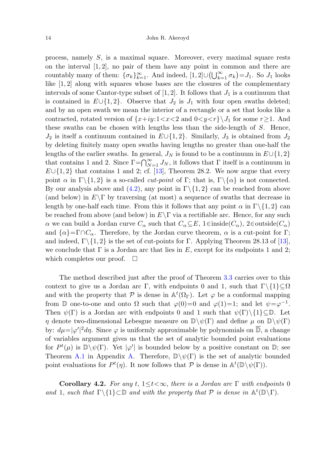process, namely  $S$ , is a maximal square. Moreover, every maximal square rests on the interval  $[1, 2]$ , no pair of them have any point in common and there are countably many of them:  $\{\sigma_k\}_{k=1}^{\infty}$ . And indeed,  $[1,2] \cup (\bigcup_{k=1}^{\infty} \sigma_k) = J_1$ . So  $J_1$  looks like [1, 2] along with squares whose bases are the closures of the complementary intervals of some Cantor-type subset of [1, 2]. It follows that  $J_1$  is a continuum that is contained in  $E\cup\{1,2\}$ . Observe that  $J_2$  is  $J_1$  with four open swaths deleted; and by an open swath we mean the interior of a rectangle or a set that looks like a contracted, rotated version of  $\{x+iy:1\leq x\leq 2 \text{ and } 0\leq y\leq r\}\setminus J_1$  for some  $r\geq 1$ . And these swaths can be chosen with lengths less than the side-length of S. Hence,  $J_2$  is itself a continuum contained in  $E\cup\{1,2\}$ . Similarly,  $J_3$  is obtained from  $J_2$ by deleting finitely many open swaths having lengths no greater than one-half the lengths of the earlier swaths. In general,  $J_N$  is found to be a continuum in  $E \cup \{1, 2\}$ that contains 1 and 2. Since  $\Gamma = \bigcap_{N=1}^{\infty} J_N$ , it follows that  $\Gamma$  itself is a continuum in  $E\cup\{1,2\}$  that contains 1 and 2; cf. [\[13](#page-15-8)], Theorem 28.2. We now argue that every point  $\alpha$  in  $\Gamma \setminus \{1, 2\}$  is a so-called *cut-point* of  $\Gamma$ ; that is,  $\Gamma \setminus \{\alpha\}$  is not connected. By our analysis above and ([4.2](#page-12-1)), any point in  $\Gamma \setminus \{1, 2\}$  can be reached from above (and below) in  $E\setminus\Gamma$  by traversing (at most) a sequence of swaths that decrease in length by one-half each time. From this it follows that any point  $\alpha$  in  $\Gamma \setminus \{1, 2\}$  can be reached from above (and below) in  $E\setminus\Gamma$  via a rectifiable arc. Hence, for any such  $\alpha$  we can build a Jordan curve  $C_{\alpha}$  such that  $C_{\alpha} \subseteq E$ ,  $1 \in inside(C_{\alpha})$ ,  $2 \in outside(C_{\alpha})$ and  $\{\alpha\}=\Gamma\cap C_\alpha$ . Therefore, by the Jordan curve theorem,  $\alpha$  is a cut-point for Γ; and indeed,  $\Gamma \setminus \{1, 2\}$  is the set of cut-points for Γ. Applying Theorem 28.13 of [\[13](#page-15-8)], we conclude that  $\Gamma$  is a Jordan arc that lies in E, except for its endpoints 1 and 2; which completes our proof.  $\Box$ 

<span id="page-13-0"></span>The method described just after the proof of Theorem [3.3](#page-5-0) carries over to this context to give us a Jordan arc Γ, with endpoints 0 and 1, such that  $\Gamma \setminus \{1\} \subseteq \Omega$ and with the property that  $P$  is dense in  $\mathbb{A}^t(\Omega_\Gamma)$ . Let  $\varphi$  be a conformal mapping from  $\mathbb D$  one-to-one and onto  $\Omega$  such that  $\varphi(0)=0$  and  $\varphi(1)=1$ ; and let  $\psi=\varphi^{-1}$ . Then  $\psi(\Gamma)$  is a Jordan arc with endpoints 0 and 1 such that  $\psi(\Gamma)\setminus\{1\}\subset\mathbb{D}$ . Let η denote two-dimensional Lebesgue measure on  $\mathbb{D}\setminus\psi(\Gamma)$  and define  $\mu$  on  $\mathbb{D}\setminus\psi(\Gamma)$ by:  $d\mu = |\varphi'|^2 d\eta$ . Since  $\varphi$  is uniformly approximable by polynomials on  $\overline{\mathbb{D}}$ , a change of variables argument gives us that the set of analytic bounded point evaluations for  $P^t(\mu)$  is  $\mathbb{D}\setminus\psi(\Gamma)$ . Yet  $|\varphi'|$  is bounded below by a positive constant on  $\mathbb{D}$ ; see Theorem [A.1](#page-14-2) in Appendix [A.](#page-14-3) Therefore,  $\mathbb{D}\psi(\Gamma)$  is the set of analytic bounded point evaluations for  $P^t(\eta)$ . It now follows that  $\mathcal P$  is dense in  $\mathbb A^t(\mathbb D\setminus\psi(\Gamma))$ .

**Corollary 4.2.** For any t,  $1 \le t \le \infty$ , there is a Jordan arc  $\Gamma$  with endpoints 0 and 1, such that  $\Gamma \backslash \{1\} \subset \mathbb{D}$  and with the property that  $\mathcal P$  is dense in  $\mathbb{A}^t(\mathbb{D}\backslash\Gamma)$ .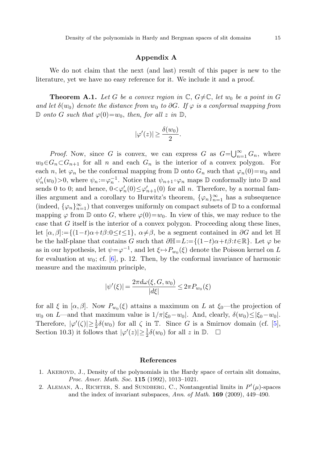# **Appendix A**

<span id="page-14-3"></span><span id="page-14-2"></span>We do not claim that the next (and last) result of this paper is new to the literature, yet we have no easy reference for it. We include it and a proof.

**Theorem A.1.** Let G be a convex region in  $\mathbb{C}$ ,  $G \neq \mathbb{C}$ , let  $w_0$  be a point in G and let  $\delta(w_0)$  denote the distance from  $w_0$  to  $\partial G$ . If  $\varphi$  is a conformal mapping from  $\mathbb D$  onto G such that  $\varphi(0)=w_0$ , then, for all z in  $\mathbb D$ ,

$$
|\varphi'(z)| \ge \frac{\delta(w_0)}{2}.
$$

*Proof.* Now, since G is convex, we can express G as  $G = \bigcup_{n=1}^{\infty} G_n$ , where  $w_0 \in G_n \subset G_{n+1}$  for all n and each  $G_n$  is the interior of a convex polygon. For each n, let  $\varphi_n$  be the conformal mapping from  $\mathbb D$  onto  $G_n$  such that  $\varphi_n(0)=w_0$  and  $\psi'_n(w_0) > 0$ , where  $\psi_n := \varphi_n^{-1}$ . Notice that  $\psi_{n+1} \circ \varphi_n$  maps  $\mathbb D$  conformally into  $\mathbb D$  and sends 0 to 0; and hence,  $0 < \varphi'_n(0) \le \varphi'_{n+1}(0)$  for all *n*. Therefore, by a normal families argument and a corollary to Hurwitz's theorem,  $\{\varphi_n\}_{n=1}^{\infty}$  has a subsequence (indeed,  $\{\varphi_n\}_{n=1}^{\infty}$ ) that converges uniformly on compact subsets of  $\mathbb D$  to a conformal mapping  $\varphi$  from  $\mathbb D$  onto G, where  $\varphi(0)=w_0$ . In view of this, we may reduce to the case that G itself is the interior of a convex polygon. Proceeding along these lines, let  $[\alpha, \beta] := \{(1-t)\alpha+t\beta: 0 \le t \le 1\}, \alpha \neq \beta$ , be a segment contained in  $\partial G$  and let  $\mathbb{H}$ be the half-plane that contains G such that  $\partial \mathbb{H} = L:= \{(1-t)\alpha+t\beta: t \in \mathbb{R}\}\.$  Let  $\varphi$  be as in our hypothesis, let  $\psi = \varphi^{-1}$ , and let  $\xi \mapsto P_{w_0}(\xi)$  denote the Poisson kernel on L for evaluation at  $w_0$ ; cf.  $\vert 6 \vert$ , p. 12. Then, by the conformal invariance of harmonic measure and the maximum principle,

$$
|\psi'(\xi)| = \frac{2\pi d\omega(\xi, G, w_0)}{|\mathrm{d}\xi|} \le 2\pi P_{w_0}(\xi)
$$

<span id="page-14-1"></span><span id="page-14-0"></span>for all  $\xi$  in  $[\alpha, \beta]$ . Now  $P_{w_0}(\xi)$  attains a maximum on L at  $\xi_0$ —the projection of w<sub>0</sub> on L—and that maximum value is  $1/\pi |\xi_0 - w_0|$ . And, clearly,  $\delta(w_0) \leq |\xi_0 - w_0|$ . Therefore,  $|\varphi'(\zeta)| \geq \frac{1}{2}\delta(w_0)$  for all  $\zeta$  in  $\mathbb T$ . Since G is a Smirnov domain (cf. [[5\]](#page-15-10), Section 10.3) it follows that  $|\varphi'(z)| \geq \frac{1}{2}\delta(w_0)$  for all  $z$  in  $\mathbb{D}$ .  $\Box$ 

#### **References**

- 1. Akeroyd, J., Density of the polynomials in the Hardy space of certain slit domains, Proc. Amer. Math. Soc. **115** (1992), 1013–1021.
- 2. ALEMAN, A., RICHTER, S. and SUNDBERG, C., Nontangential limits in  $P<sup>t</sup>(\mu)$ -spaces and the index of invariant subspaces, Ann. of Math. **169** (2009), 449–490.